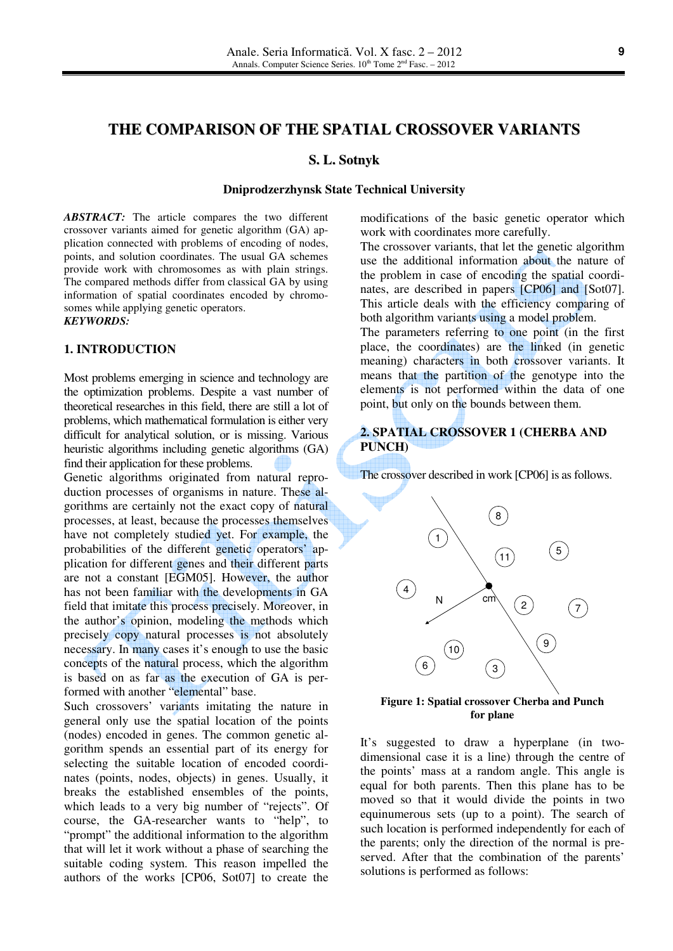# **THE COMPARISON OF THE SPATIAL CROSSOVER VARIANTS**

#### **S. L. Sotnyk**

#### **Dniprodzerzhynsk State Technical University**

*ABSTRACT:* The article compares the two different crossover variants aimed for genetic algorithm (GA) application connected with problems of encoding of nodes, points, and solution coordinates. The usual GA schemes provide work with chromosomes as with plain strings. The compared methods differ from classical GA by using information of spatial coordinates encoded by chromosomes while applying genetic operators. *KEYWORDS:*

#### **1. INTRODUCTION**

Most problems emerging in science and technology are the optimization problems. Despite a vast number of theoretical researches in this field, there are still a lot of problems, which mathematical formulation is either very difficult for analytical solution, or is missing. Various heuristic algorithms including genetic algorithms (GA) find their application for these problems.

Genetic algorithms originated from natural reproduction processes of organisms in nature. These algorithms are certainly not the exact copy of natural processes, at least, because the processes themselves have not completely studied yet. For example, the probabilities of the different genetic operators' application for different genes and their different parts are not a constant [EGM05]. However, the author has not been familiar with the developments in GA field that imitate this process precisely. Moreover, in the author's opinion, modeling the methods which precisely copy natural processes is not absolutely necessary. In many cases it's enough to use the basic concepts of the natural process, which the algorithm is based on as far as the execution of GA is performed with another "elemental" base.

Such crossovers' variants imitating the nature in general only use the spatial location of the points (nodes) encoded in genes. The common genetic algorithm spends an essential part of its energy for selecting the suitable location of encoded coordinates (points, nodes, objects) in genes. Usually, it breaks the established ensembles of the points, which leads to a very big number of "rejects". Of course, the GA-researcher wants to "help", to "prompt" the additional information to the algorithm that will let it work without a phase of searching the suitable coding system. This reason impelled the authors of the works [CP06, Sot07] to create the

modifications of the basic genetic operator which work with coordinates more carefully.

The crossover variants, that let the genetic algorithm use the additional information about the nature of the problem in case of encoding the spatial coordinates, are described in papers [CP06] and [Sot07]. This article deals with the efficiency comparing of both algorithm variants using a model problem.

The parameters referring to one point (in the first place, the coordinates) are the linked (in genetic meaning) characters in both crossover variants. It means that the partition of the genotype into the elements is not performed within the data of one point, but only on the bounds between them.

#### **2. SPATIAL CROSSOVER 1 (CHERBA AND PUNCH)**

The crossover described in work [CP06] is as follows.



**Figure 1: Spatial crossover Cherba and Punch for plane**

It's suggested to draw a hyperplane (in twodimensional case it is a line) through the centre of the points' mass at a random angle. This angle is equal for both parents. Then this plane has to be moved so that it would divide the points in two equinumerous sets (up to a point). The search of such location is performed independently for each of the parents; only the direction of the normal is preserved. After that the combination of the parents' solutions is performed as follows: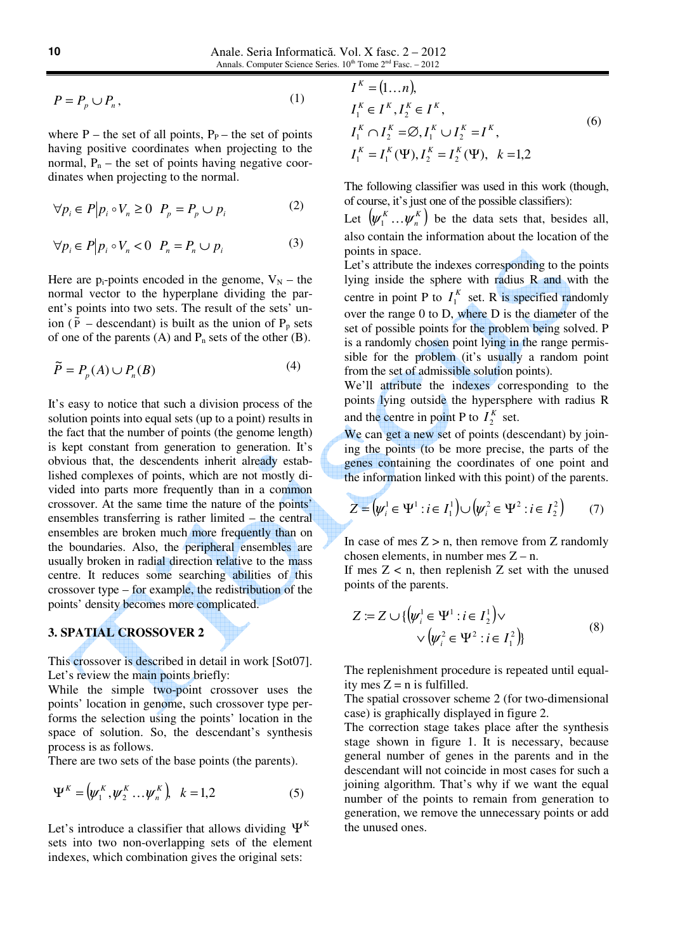$$
P = P_p \cup P_n,\tag{1}
$$

where  $P$  – the set of all points,  $P_P$  – the set of points having positive coordinates when projecting to the normal,  $P_n$  – the set of points having negative coordinates when projecting to the normal.

$$
\forall p_i \in P \big| p_i \circ V_n \ge 0 \quad P_p = P_p \cup p_i \tag{2}
$$

$$
\forall p_i \in P \big| p_i \circ V_n < 0 \quad P_n = P_n \cup p_i \tag{3}
$$

Here are  $p_i$ -points encoded in the genome,  $V_N$  – the normal vector to the hyperplane dividing the parent's points into two sets. The result of the sets' union ( $\dot{\tilde{P}}$  – descendant) is built as the union of P<sub>p</sub> sets of one of the parents  $(A)$  and  $P_n$  sets of the other  $(B)$ .

$$
\widetilde{P} = P_p(A) \cup P_n(B) \tag{4}
$$

It's easy to notice that such a division process of the solution points into equal sets (up to a point) results in the fact that the number of points (the genome length) is kept constant from generation to generation. It's obvious that, the descendents inherit already established complexes of points, which are not mostly divided into parts more frequently than in a common crossover. At the same time the nature of the points' ensembles transferring is rather limited – the central ensembles are broken much more frequently than on the boundaries. Also, the peripheral ensembles are usually broken in radial direction relative to the mass centre. It reduces some searching abilities of this crossover type – for example, the redistribution of the points' density becomes more complicated.

## **3. SPATIAL CROSSOVER 2**

This crossover is described in detail in work [Sot07]. Let's review the main points briefly:

While the simple two-point crossover uses the points' location in genome, such crossover type performs the selection using the points' location in the space of solution. So, the descendant's synthesis process is as follows.

There are two sets of the base points (the parents).

$$
\Psi^{K} = (\psi_{1}^{K}, \psi_{2}^{K} \dots \psi_{n}^{K}), \quad k = 1, 2
$$
 (5)

Let's introduce a classifier that allows dividing  $\Psi^{K}$ sets into two non-overlapping sets of the element indexes, which combination gives the original sets:

$$
I^{K} = (1...n),
$$
  
\n
$$
I_{1}^{K} \in I^{K}, I_{2}^{K} \in I^{K},
$$
  
\n
$$
I_{1}^{K} \cap I_{2}^{K} = \emptyset, I_{1}^{K} \cup I_{2}^{K} = I^{K},
$$
  
\n
$$
I_{1}^{K} = I_{1}^{K}(\Psi), I_{2}^{K} = I_{2}^{K}(\Psi), \quad k = 1, 2
$$
\n(6)

The following classifier was used in this work (though, of course, it's just one of the possible classifiers):

Let  $(\psi_1^K \dots \psi_n^K)$  $(\psi_1^K \dots \psi_n^K)$  be the data sets that, besides all, also contain the information about the location of the points in space.

Let's attribute the indexes corresponding to the points lying inside the sphere with radius R and with the centre in point P to  $I_1^K$  set. R is specified randomly over the range 0 to D, where D is the diameter of the set of possible points for the problem being solved. P is a randomly chosen point lying in the range permissible for the problem (it's usually a random point from the set of admissible solution points).

We'll attribute the indexes corresponding to the points lying outside the hypersphere with radius R and the centre in point P to  $I_2^K$  set.

We can get a new set of points (descendant) by joining the points (to be more precise, the parts of the genes containing the coordinates of one point and the information linked with this point) of the parents.

$$
Z = (\psi_i^1 \in \Psi^1 : i \in I_1^1) \cup (\psi_i^2 \in \Psi^2 : i \in I_2^2)
$$
 (7)

In case of mes  $Z > n$ , then remove from Z randomly chosen elements, in number mes Z – n.

If mes  $Z < n$ , then replenish Z set with the unused points of the parents.

$$
Z := Z \cup \{ \left( \psi_i^1 \in \Psi^1 : i \in I_2^1 \right) \vee \newline \vee \left( \psi_i^2 \in \Psi^2 : i \in I_1^2 \right) \} \tag{8}
$$

The replenishment procedure is repeated until equality mes  $Z = n$  is fulfilled.

The spatial crossover scheme 2 (for two-dimensional case) is graphically displayed in figure 2.

The correction stage takes place after the synthesis stage shown in figure 1. It is necessary, because general number of genes in the parents and in the descendant will not coincide in most cases for such a joining algorithm. That's why if we want the equal number of the points to remain from generation to generation, we remove the unnecessary points or add the unused ones.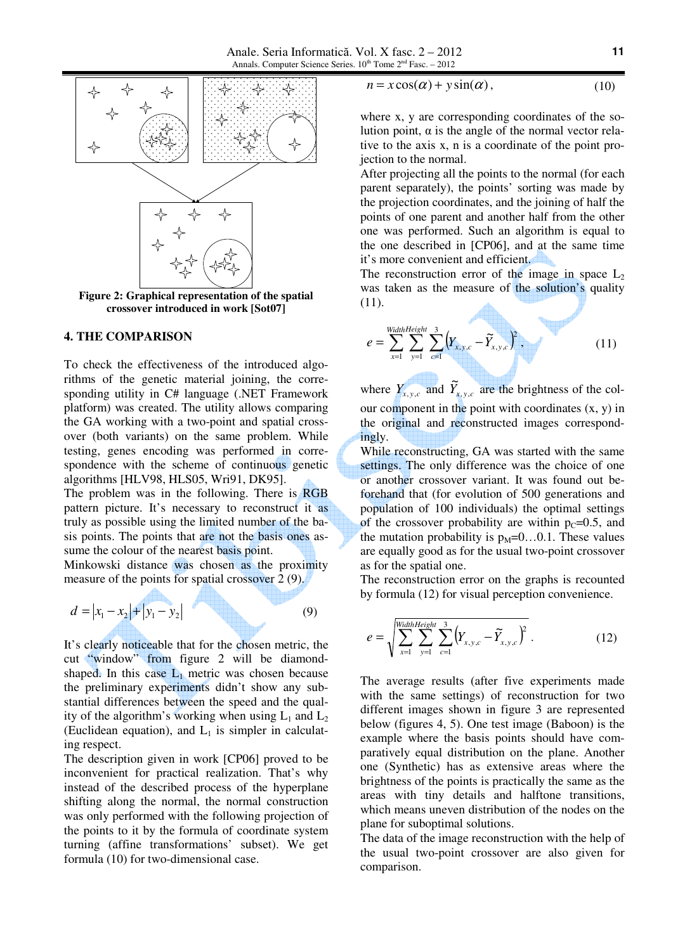

**Figure 2: Graphical representation of the spatial crossover introduced in work [Sot07]**

#### **4. THE COMPARISON**

To check the effectiveness of the introduced algorithms of the genetic material joining, the corresponding utility in C# language (.NET Framework platform) was created. The utility allows comparing the GA working with a two-point and spatial crossover (both variants) on the same problem. While testing, genes encoding was performed in correspondence with the scheme of continuous genetic algorithms [HLV98, HLS05, Wri91, DK95].

The problem was in the following. There is RGB pattern picture. It's necessary to reconstruct it as truly as possible using the limited number of the basis points. The points that are not the basis ones assume the colour of the nearest basis point.

Minkowski distance was chosen as the proximity measure of the points for spatial crossover 2 (9).

$$
d = |x_1 - x_2| + |y_1 - y_2|
$$
 (9)

It's clearly noticeable that for the chosen metric, the cut "window" from figure 2 will be diamondshaped. In this case  $L_1$  metric was chosen because the preliminary experiments didn't show any substantial differences between the speed and the quality of the algorithm's working when using  $L_1$  and  $L_2$ (Euclidean equation), and  $L_1$  is simpler in calculating respect.

The description given in work [CP06] proved to be inconvenient for practical realization. That's why instead of the described process of the hyperplane shifting along the normal, the normal construction was only performed with the following projection of the points to it by the formula of coordinate system turning (affine transformations' subset). We get formula (10) for two-dimensional case.

$$
n = x\cos(\alpha) + y\sin(\alpha),\tag{10}
$$

where x, y are corresponding coordinates of the solution point, α is the angle of the normal vector relative to the axis x, n is a coordinate of the point projection to the normal.

After projecting all the points to the normal (for each parent separately), the points' sorting was made by the projection coordinates, and the joining of half the points of one parent and another half from the other one was performed. Such an algorithm is equal to the one described in [CP06], and at the same time it's more convenient and efficient.

The reconstruction error of the image in space  $L_2$ was taken as the measure of the solution's quality (11).

$$
e = \sum_{x=1}^{\text{WidthHeight}} \sum_{y=1}^{3} \left(Y_{x,y,c} - \widetilde{Y}_{x,y,c}\right)^2, \qquad (11)
$$

where  $Y_{x,y,c}$  and  $\widetilde{Y}_{x,y,c}$  are the brightness of the colour component in the point with coordinates  $(x, y)$  in the original and reconstructed images correspondingly.

While reconstructing, GA was started with the same settings. The only difference was the choice of one or another crossover variant. It was found out beforehand that (for evolution of 500 generations and population of 100 individuals) the optimal settings of the crossover probability are within  $p_c=0.5$ , and the mutation probability is  $p_M=0...0.1$ . These values are equally good as for the usual two-point crossover as for the spatial one.

The reconstruction error on the graphs is recounted by formula (12) for visual perception convenience.

$$
e = \sqrt{\sum_{x=1}^{\text{WidthHeight}} \sum_{y=1}^{3} \sum_{c=1}^{3} (Y_{x,y,c} - \widetilde{Y}_{x,y,c})^2} \ . \tag{12}
$$

The average results (after five experiments made with the same settings) of reconstruction for two different images shown in figure 3 are represented below (figures 4, 5). One test image (Baboon) is the example where the basis points should have comparatively equal distribution on the plane. Another one (Synthetic) has as extensive areas where the brightness of the points is practically the same as the areas with tiny details and halftone transitions, which means uneven distribution of the nodes on the plane for suboptimal solutions.

The data of the image reconstruction with the help of the usual two-point crossover are also given for comparison.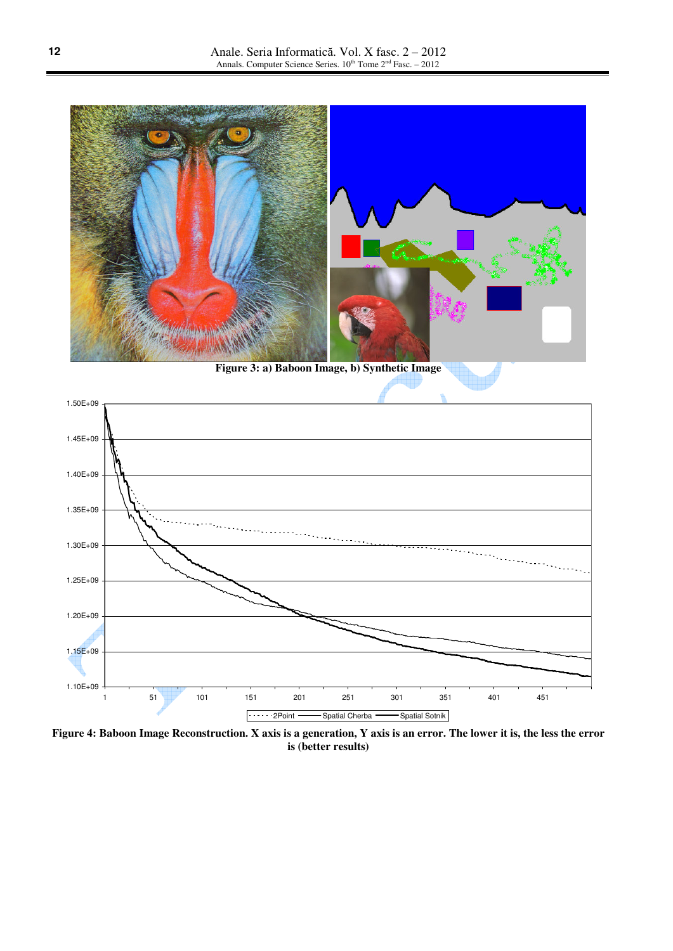

**Figure 3: a) Baboon Image, b) Synthetic Image**



**Figure 4: Baboon Image Reconstruction. X axis is a generation, Y axis is an error. The lower it is, the less the error is (better results)**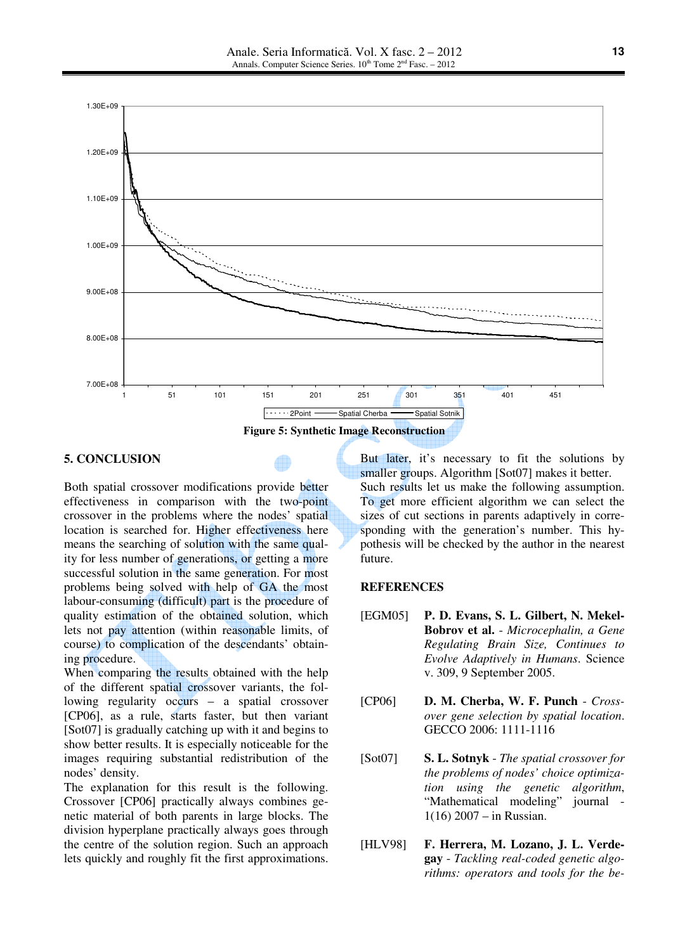

#### **5. CONCLUSION**

Both spatial crossover modifications provide better effectiveness in comparison with the two-point crossover in the problems where the nodes' spatial location is searched for. Higher effectiveness here means the searching of solution with the same quality for less number of generations, or getting a more successful solution in the same generation. For most problems being solved with help of GA the most labour-consuming (difficult) part is the procedure of quality estimation of the obtained solution, which lets not pay attention (within reasonable limits, of course) to complication of the descendants' obtaining procedure.

When comparing the results obtained with the help of the different spatial crossover variants, the following regularity occurs – a spatial crossover [CP06], as a rule, starts faster, but then variant [Sot07] is gradually catching up with it and begins to show better results. It is especially noticeable for the images requiring substantial redistribution of the nodes' density.

The explanation for this result is the following. Crossover [CP06] practically always combines genetic material of both parents in large blocks. The division hyperplane practically always goes through the centre of the solution region. Such an approach lets quickly and roughly fit the first approximations.

But later, it's necessary to fit the solutions by smaller groups. Algorithm [Sot07] makes it better. Such results let us make the following assumption. To get more efficient algorithm we can select the sizes of cut sections in parents adaptively in corresponding with the generation's number. This hypothesis will be checked by the author in the nearest future.

### **REFERENCES**

- [EGM05] **P. D. Evans, S. L. Gilbert, N. Mekel-Bobrov et al.** - *Microcephalin, a Gene Regulating Brain Size, Continues to Evolve Adaptively in Humans*. Science v. 309, 9 September 2005.
- [CP06] **D. M. Cherba, W. F. Punch** *Crossover gene selection by spatial location*. GECCO 2006: 1111-1116
- [Sot07] **S. L. Sotnyk** *The spatial crossover for the problems of nodes' choice optimization using the genetic algorithm*, "Mathematical modeling" journal - 1(16) 2007 – in Russian.
- [HLV98] **F. Herrera, M. Lozano, J. L. Verdegay** - *Tackling real-coded genetic algorithms: operators and tools for the be-*